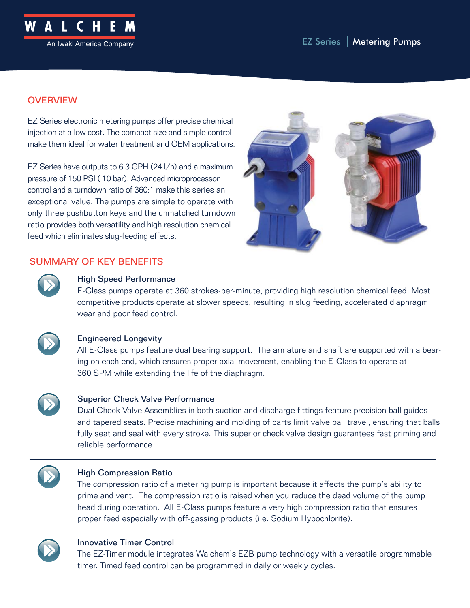

# **OVERVIEW**

EZ Series electronic metering pumps offer precise chemical injection at a low cost. The compact size and simple control make them ideal for water treatment and OEM applications.

EZ Series have outputs to 6.3 GPH (24 l/h) and a maximum pressure of 150 PSI ( 10 bar). Advanced microprocessor control and a turndown ratio of 360:1 make this series an exceptional value. The pumps are simple to operate with only three pushbutton keys and the unmatched turndown ratio provides both versatility and high resolution chemical feed which eliminates slug-feeding effects.



# SUMMARY OF KEY BENEFITS



## High Speed Performance

E-Class pumps operate at 360 strokes-per-minute, providing high resolution chemical feed. Most competitive products operate at slower speeds, resulting in slug feeding, accelerated diaphragm wear and poor feed control.



## Engineered Longevity

All E-Class pumps feature dual bearing support. The armature and shaft are supported with a bearing on each end, which ensures proper axial movement, enabling the E-Class to operate at 360 SPM while extending the life of the diaphragm.



### Superior Check Valve Performance

Dual Check Valve Assemblies in both suction and discharge fittings feature precision ball guides and tapered seats. Precise machining and molding of parts limit valve ball travel, ensuring that balls fully seat and seal with every stroke. This superior check valve design guarantees fast priming and reliable performance.



### High Compression Ratio

The compression ratio of a metering pump is important because it affects the pump's ability to prime and vent. The compression ratio is raised when you reduce the dead volume of the pump head during operation. All E-Class pumps feature a very high compression ratio that ensures proper feed especially with off-gassing products (i.e. Sodium Hypochlorite).



## Innovative Timer Control

The EZ-Timer module integrates Walchem's EZB pump technology with a versatile programmable timer. Timed feed control can be programmed in daily or weekly cycles.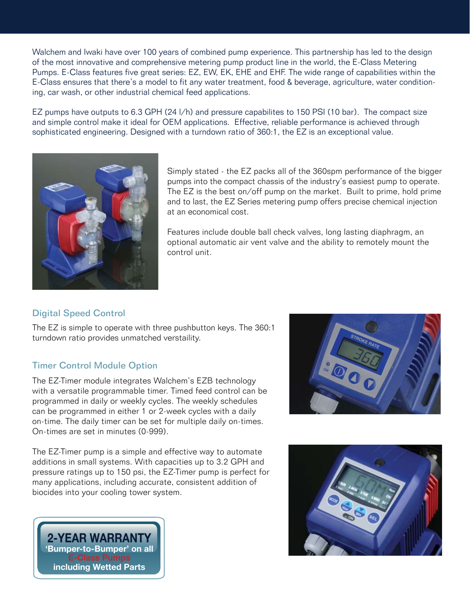Walchem and Iwaki have over 100 years of combined pump experience. This partnership has led to the design of the most innovative and comprehensive metering pump product line in the world, the E-Class Metering Pumps. E-Class features five great series: EZ, EW, EK, EHE and EHF. The wide range of capabilities within the E-Class ensures that there's a model to fit any water treatment, food & beverage, agriculture, water conditioning, car wash, or other industrial chemical feed applications.

EZ pumps have outputs to 6.3 GPH (24 l/h) and pressure capabilites to 150 PSI (10 bar). The compact size and simple control make it ideal for OEM applications. Effective, reliable performance is achieved through sophisticated engineering. Designed with a turndown ratio of 360:1, the EZ is an exceptional value.



Simply stated - the EZ packs all of the 360spm performance of the bigger pumps into the compact chassis of the industry's easiest pump to operate. The EZ is the best on/off pump on the market. Built to prime, hold prime and to last, the EZ Series metering pump offers precise chemical injection at an economical cost.

Features include double ball check valves, long lasting diaphragm, an optional automatic air vent valve and the ability to remotely mount the control unit.

## Digital Speed Control

The EZ is simple to operate with three pushbutton keys. The 360:1 turndown ratio provides unmatched verstaility.

## Timer Control Module Option

The EZ-Timer module integrates Walchem's EZB technology with a versatile programmable timer. Timed feed control can be programmed in daily or weekly cycles. The weekly schedules can be programmed in either 1 or 2-week cycles with a daily on-time. The daily timer can be set for multiple daily on-times. On-times are set in minutes (0-999).

The EZ-Timer pump is a simple and effective way to automate additions in small systems. With capacities up to 3.2 GPH and pressure ratings up to 150 psi, the EZ-Timer pump is perfect for many applications, including accurate, consistent addition of biocides into your cooling tower system.





**2-YEAR WARRANTY 'Bumper-to-Bumper' on all including Wetted Parts**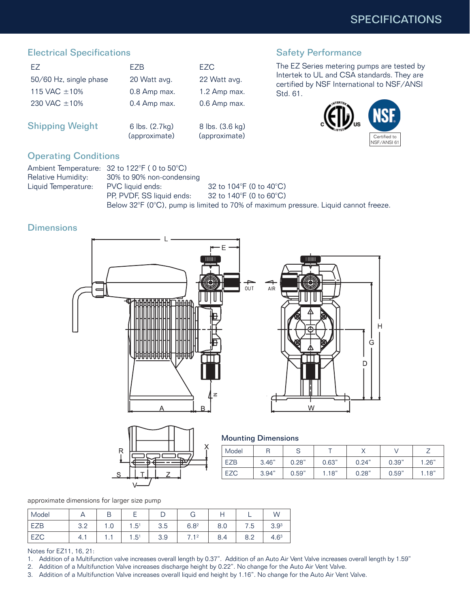# Electrical Specifications

| FZ.                    | F7B                             | FZC.                             |
|------------------------|---------------------------------|----------------------------------|
| 50/60 Hz, single phase | 20 Watt avg.                    | 22 Watt avg.                     |
| 115 VAC $\pm$ 10%      | 0.8 Amp max.                    | 1.2 Amp max.                     |
| 230 VAC ±10%           | 0.4 Amp max.                    | 0.6 Amp max.                     |
| <b>Shipping Weight</b> | 6 lbs. (2.7kg)<br>(approximate) | 8 lbs. (3.6 kg)<br>(approximate) |

## Safety Performance

The EZ Series metering pumps are tested by Intertek to UL and CSA standards. They are certified by NSF International to NSF/ANSI Std. 61.



 $\overline{H}$ 

# Operating Conditions

|                     | Ambient Temperature: 32 to 122°F (0 to 50°C) |                                                                                     |
|---------------------|----------------------------------------------|-------------------------------------------------------------------------------------|
| Relative Humidity:  | 30% to 90% non-condensing                    |                                                                                     |
| Liquid Temperature: | PVC liquid ends:                             | 32 to 104 $\degree$ F (0 to 40 $\degree$ C)                                         |
|                     | PP, PVDF, SS liquid ends:                    | 32 to 140°F (0 to 60°C).                                                            |
|                     |                                              | Below 32°F (0°C), pump is limited to 70% of maximum pressure. Liquid cannot freeze. |

# **Dimensions**





#### Mounting Dimensions

| Model      |       | ◡     |       |       |       |       |
|------------|-------|-------|-------|-------|-------|-------|
| <b>EZB</b> | 3.46" | 0.28" | 0.63" | 0.24" | 0.39" | 1.26" |
| EZC        | 3.94" | 0.59" | 1.18" | 0.28" | 0.59" | 1.18" |

approximate dimensions for larger size pump

| Model    |            |               |                  |     |                           |     |     | W                |
|----------|------------|---------------|------------------|-----|---------------------------|-----|-----|------------------|
| EZB<br>⊢ | ? ດ<br>v.z | $\sim$<br>ں ، | $6.5^{\circ}$    | 3.5 | 6.8 <sup>2</sup>          | 8.0 | 7.5 | 3.9 <sup>3</sup> |
|          | 4.1        | .             | 1.5 <sup>1</sup> | 3.9 | 12<br>$\overline{ }$<br>. | 8.4 | 8.2 | 4.6 <sup>3</sup> |

Notes for EZ11, 16, 21:

- 1. Addition of a Multifunction valve increases overall length by 0.37". Addition of an Auto Air Vent Valve increases overall length by 1.59"
- 2. Addition of a Multifunction Valve increases discharge height by 0.22". No change for the Auto Air Vent Valve.
- 3. Addition of a Multifunction Valve increases overall liquid end height by 1.16". No change for the Auto Air Vent Valve.